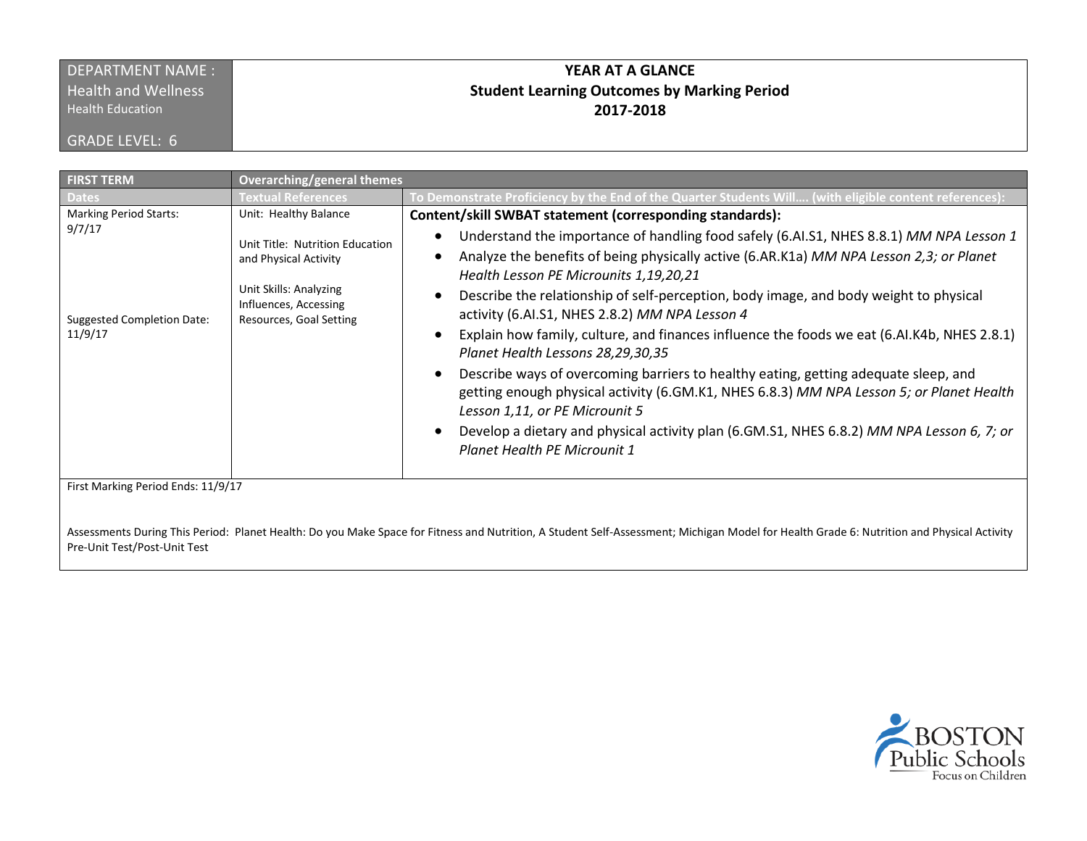## DEPARTMENT NAME : **Health and Wellness**

**Health Education** 

GRADE LEVEL: 6

## **YEAR AT A GLANCE Student Learning Outcomes by Marking Period 2017-2018**

| Dates<br><b>Marking Period Starts:</b><br>9/7/17 | <b>Textual References</b><br>Unit: Healthy Balance                                                                                     | To Demonstrate Proficiency by the End of the Quarter Students Will (with eligible content references)                                                                                                                                                                                                                                                                                                                                                                                                                                                                                                                                                                                                                                                                                                                                                                                                                                  |
|--------------------------------------------------|----------------------------------------------------------------------------------------------------------------------------------------|----------------------------------------------------------------------------------------------------------------------------------------------------------------------------------------------------------------------------------------------------------------------------------------------------------------------------------------------------------------------------------------------------------------------------------------------------------------------------------------------------------------------------------------------------------------------------------------------------------------------------------------------------------------------------------------------------------------------------------------------------------------------------------------------------------------------------------------------------------------------------------------------------------------------------------------|
|                                                  |                                                                                                                                        |                                                                                                                                                                                                                                                                                                                                                                                                                                                                                                                                                                                                                                                                                                                                                                                                                                                                                                                                        |
| <b>Suggested Completion Date:</b><br>11/9/17     | Unit Title: Nutrition Education<br>and Physical Activity<br>Unit Skills: Analyzing<br>Influences, Accessing<br>Resources, Goal Setting | Content/skill SWBAT statement (corresponding standards):<br>Understand the importance of handling food safely (6.AI.S1, NHES 8.8.1) MM NPA Lesson 1<br>$\bullet$<br>Analyze the benefits of being physically active (6.AR.K1a) MM NPA Lesson 2,3; or Planet<br>Health Lesson PE Microunits 1,19,20,21<br>Describe the relationship of self-perception, body image, and body weight to physical<br>activity (6.AI.S1, NHES 2.8.2) MM NPA Lesson 4<br>Explain how family, culture, and finances influence the foods we eat (6.AI.K4b, NHES 2.8.1)<br>Planet Health Lessons 28,29,30,35<br>Describe ways of overcoming barriers to healthy eating, getting adequate sleep, and<br>getting enough physical activity (6.GM.K1, NHES 6.8.3) MM NPA Lesson 5; or Planet Health<br>Lesson 1,11, or PE Microunit 5<br>Develop a dietary and physical activity plan (6.GM.S1, NHES 6.8.2) MM NPA Lesson 6, 7; or<br>Planet Health PE Microunit 1 |
| First Marking Period Ends: 11/9/17               |                                                                                                                                        |                                                                                                                                                                                                                                                                                                                                                                                                                                                                                                                                                                                                                                                                                                                                                                                                                                                                                                                                        |

Assessments During This Period: Planet Health: Do you Make Space for Fitness and Nutrition, A Student Self-Assessment; Michigan Model for Health Grade 6: Nutrition and Physical Activity Pre-Unit Test/Post-Unit Test

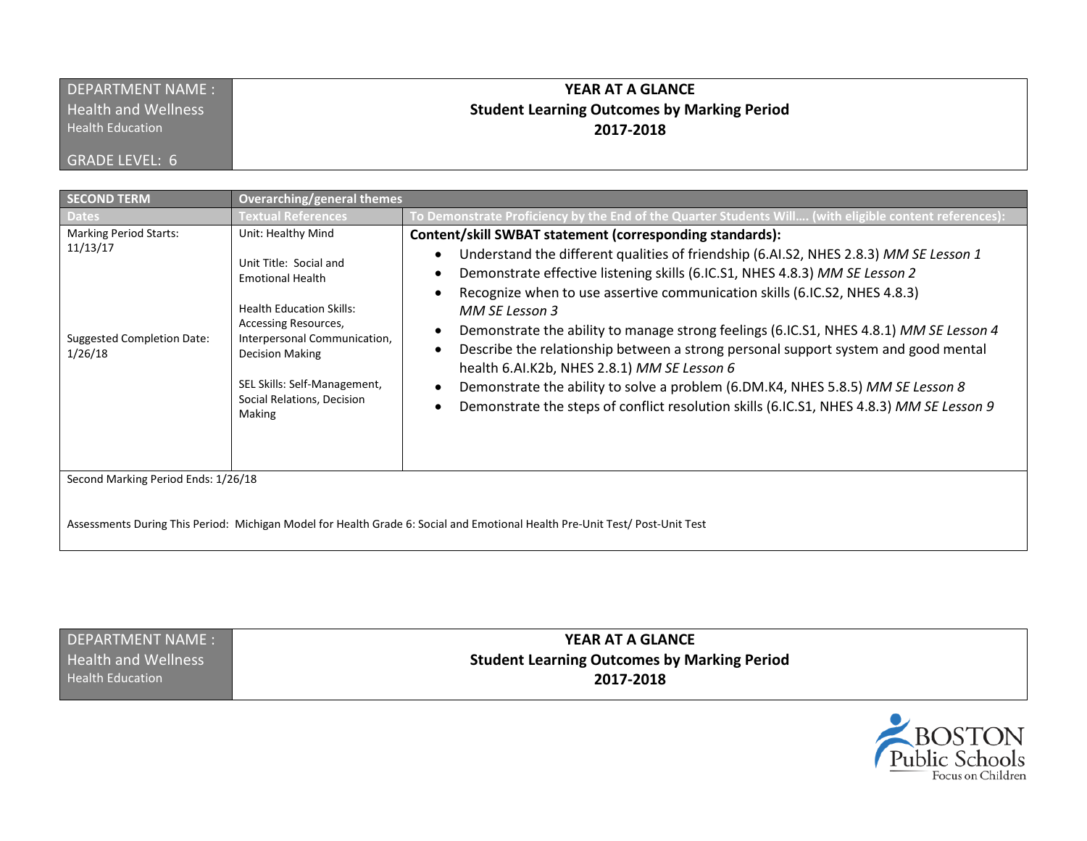| DEPARTMENT NAME:           | YEAR AT A GLANCE                                   |
|----------------------------|----------------------------------------------------|
| <b>Health and Wellness</b> | <b>Student Learning Outcomes by Marking Period</b> |
| <b>Health Education</b>    | 2017-2018                                          |
| <b>GRADE LEVEL: 6</b>      |                                                    |

| <b>SECOND TERM</b>                                                                        | Overarching/general themes                                                                                                                                                                                                                                           |                                                                                                                                                                                                                                                                                                                                                                                                                                                                                                                                                                                                                                                                                                                                                             |
|-------------------------------------------------------------------------------------------|----------------------------------------------------------------------------------------------------------------------------------------------------------------------------------------------------------------------------------------------------------------------|-------------------------------------------------------------------------------------------------------------------------------------------------------------------------------------------------------------------------------------------------------------------------------------------------------------------------------------------------------------------------------------------------------------------------------------------------------------------------------------------------------------------------------------------------------------------------------------------------------------------------------------------------------------------------------------------------------------------------------------------------------------|
| <b>Dates</b>                                                                              | <b>Textual References</b>                                                                                                                                                                                                                                            | To Demonstrate Proficiency by the End of the Quarter Students Will (with eligible content references):                                                                                                                                                                                                                                                                                                                                                                                                                                                                                                                                                                                                                                                      |
| <b>Marking Period Starts:</b><br>11/13/17<br><b>Suggested Completion Date:</b><br>1/26/18 | Unit: Healthy Mind<br>Unit Title: Social and<br><b>Emotional Health</b><br><b>Health Education Skills:</b><br>Accessing Resources,<br>Interpersonal Communication,<br><b>Decision Making</b><br>SEL Skills: Self-Management,<br>Social Relations, Decision<br>Making | Content/skill SWBAT statement (corresponding standards):<br>Understand the different qualities of friendship (6.Al.S2, NHES 2.8.3) MM SE Lesson 1<br>$\bullet$<br>Demonstrate effective listening skills (6.IC.S1, NHES 4.8.3) MM SE Lesson 2<br>Recognize when to use assertive communication skills (6.IC.S2, NHES 4.8.3)<br>MM SE Lesson 3<br>Demonstrate the ability to manage strong feelings (6.IC.S1, NHES 4.8.1) MM SE Lesson 4<br>Describe the relationship between a strong personal support system and good mental<br>health 6.AI.K2b, NHES 2.8.1) MM SE Lesson 6<br>Demonstrate the ability to solve a problem (6.DM.K4, NHES 5.8.5) MM SE Lesson 8<br>Demonstrate the steps of conflict resolution skills (6.IC.S1, NHES 4.8.3) MM SE Lesson 9 |
| Second Marking Period Ends: 1/26/18                                                       |                                                                                                                                                                                                                                                                      |                                                                                                                                                                                                                                                                                                                                                                                                                                                                                                                                                                                                                                                                                                                                                             |
|                                                                                           |                                                                                                                                                                                                                                                                      |                                                                                                                                                                                                                                                                                                                                                                                                                                                                                                                                                                                                                                                                                                                                                             |

Assessments During This Period: Michigan Model for Health Grade 6: Social and Emotional Health Pre-Unit Test/ Post-Unit Test

DEPARTMENT NAME : Health and Wellness Health Education

**YEAR AT A GLANCE Student Learning Outcomes by Marking Period 2017-2018**

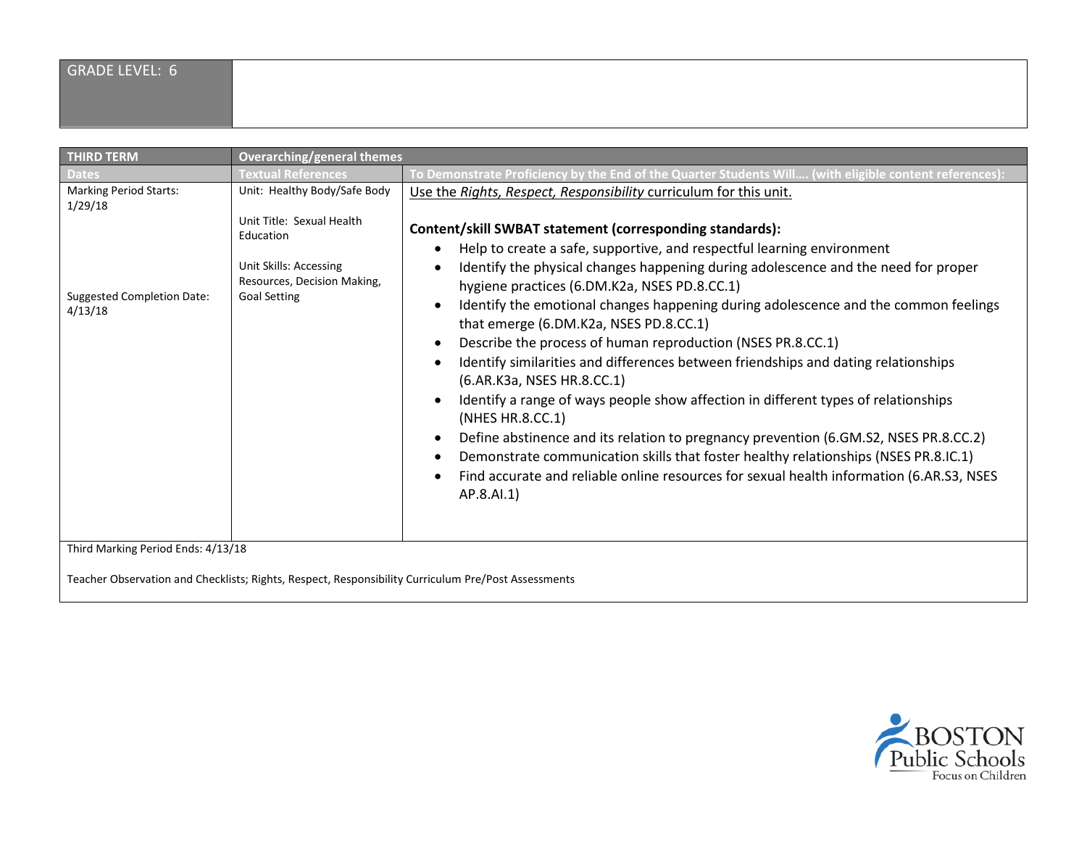| <b>THIRD TERM</b>                                                                        | <b>Overarching/general themes</b>                                                                                                                      |                                                                                                                                                                                                                                                                                                                                                                                                                                                                                                                                                                                                                                                                                                                                                                                                                                                                                                                                                                                                                                                                      |
|------------------------------------------------------------------------------------------|--------------------------------------------------------------------------------------------------------------------------------------------------------|----------------------------------------------------------------------------------------------------------------------------------------------------------------------------------------------------------------------------------------------------------------------------------------------------------------------------------------------------------------------------------------------------------------------------------------------------------------------------------------------------------------------------------------------------------------------------------------------------------------------------------------------------------------------------------------------------------------------------------------------------------------------------------------------------------------------------------------------------------------------------------------------------------------------------------------------------------------------------------------------------------------------------------------------------------------------|
| <b>Dates</b>                                                                             | <b>Textual References</b>                                                                                                                              | To Demonstrate Proficiency by the End of the Quarter Students Will (with eligible content references)                                                                                                                                                                                                                                                                                                                                                                                                                                                                                                                                                                                                                                                                                                                                                                                                                                                                                                                                                                |
| <b>Marking Period Starts:</b><br>1/29/18<br><b>Suggested Completion Date:</b><br>4/13/18 | Unit: Healthy Body/Safe Body<br>Unit Title: Sexual Health<br>Education<br>Unit Skills: Accessing<br>Resources, Decision Making,<br><b>Goal Setting</b> | Use the Rights, Respect, Responsibility curriculum for this unit.<br>Content/skill SWBAT statement (corresponding standards):<br>Help to create a safe, supportive, and respectful learning environment<br>Identify the physical changes happening during adolescence and the need for proper<br>hygiene practices (6.DM.K2a, NSES PD.8.CC.1)<br>Identify the emotional changes happening during adolescence and the common feelings<br>that emerge (6.DM.K2a, NSES PD.8.CC.1)<br>Describe the process of human reproduction (NSES PR.8.CC.1)<br>Identify similarities and differences between friendships and dating relationships<br>(6.AR.K3a, NSES HR.8.CC.1)<br>Identify a range of ways people show affection in different types of relationships<br>(NHES HR.8.CC.1)<br>Define abstinence and its relation to pregnancy prevention (6.GM.S2, NSES PR.8.CC.2)<br>Demonstrate communication skills that foster healthy relationships (NSES PR.8.IC.1)<br>Find accurate and reliable online resources for sexual health information (6.AR.S3, NSES<br>AP.8.AI.1) |
| Third Marking Period Ends: 4/13/18                                                       |                                                                                                                                                        |                                                                                                                                                                                                                                                                                                                                                                                                                                                                                                                                                                                                                                                                                                                                                                                                                                                                                                                                                                                                                                                                      |

Teacher Observation and Checklists; Rights, Respect, Responsibility Curriculum Pre/Post Assessments